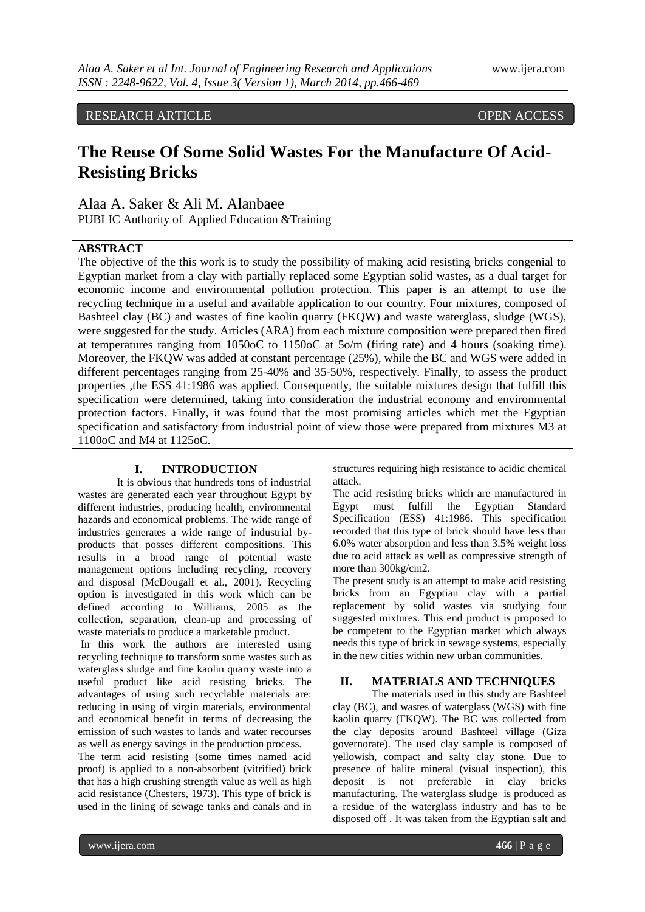## RESEARCH ARTICLE **OPEN ACCESS**

# **The Reuse Of Some Solid Wastes For the Manufacture Of Acid-Resisting Bricks**

Alaa A. Saker & Ali M. Alanbaee

PUBLIC Authority of Applied Education &Training

### **ABSTRACT**

The objective of the this work is to study the possibility of making acid resisting bricks congenial to Egyptian market from a clay with partially replaced some Egyptian solid wastes, as a dual target for economic income and environmental pollution protection. This paper is an attempt to use the recycling technique in a useful and available application to our country. Four mixtures, composed of Bashteel clay (BC) and wastes of fine kaolin quarry (FKQW) and waste waterglass, sludge (WGS), were suggested for the study. Articles (ARA) from each mixture composition were prepared then fired at temperatures ranging from 1050oC to 1150oC at 5o/m (firing rate) and 4 hours (soaking time). Moreover, the FKQW was added at constant percentage (25%), while the BC and WGS were added in different percentages ranging from 25-40% and 35-50%, respectively. Finally, to assess the product properties ,the ESS 41:1986 was applied. Consequently, the suitable mixtures design that fulfill this specification were determined, taking into consideration the industrial economy and environmental protection factors. Finally, it was found that the most promising articles which met the Egyptian specification and satisfactory from industrial point of view those were prepared from mixtures M3 at 1100oC and M4 at 1125oC.

#### **I. INTRODUCTION**

It is obvious that hundreds tons of industrial wastes are generated each year throughout Egypt by different industries, producing health, environmental hazards and economical problems. The wide range of industries generates a wide range of industrial byproducts that posses different compositions. This results in a broad range of potential waste management options including recycling, recovery and disposal (McDougall et al., 2001). Recycling option is investigated in this work which can be defined according to Williams, 2005 as the collection, separation, clean-up and processing of waste materials to produce a marketable product.

In this work the authors are interested using recycling technique to transform some wastes such as waterglass sludge and fine kaolin quarry waste into a useful product like acid resisting bricks. The advantages of using such recyclable materials are: reducing in using of virgin materials, environmental and economical benefit in terms of decreasing the emission of such wastes to lands and water recourses as well as energy savings in the production process.

The term acid resisting (some times named acid proof) is applied to a non-absorbent (vitrified) brick that has a high crushing strength value as well as high acid resistance (Chesters, 1973). This type of brick is used in the lining of sewage tanks and canals and in

structures requiring high resistance to acidic chemical attack.

The acid resisting bricks which are manufactured in Egypt must fulfill the Egyptian Standard Specification (ESS) 41:1986. This specification recorded that this type of brick should have less than 6.0% water absorption and less than 3.5% weight loss due to acid attack as well as compressive strength of more than 300kg/cm2.

The present study is an attempt to make acid resisting bricks from an Egyptian clay with a partial replacement by solid wastes via studying four suggested mixtures. This end product is proposed to be competent to the Egyptian market which always needs this type of brick in sewage systems, especially in the new cities within new urban communities.

#### **II. MATERIALS AND TECHNIQUES**

The materials used in this study are Bashteel clay (BC), and wastes of waterglass (WGS) with fine kaolin quarry (FKQW). The BC was collected from the clay deposits around Bashteel village (Giza governorate). The used clay sample is composed of yellowish, compact and salty clay stone. Due to presence of halite mineral (visual inspection), this deposit is not preferable in clay bricks manufacturing. The waterglass sludge is produced as a residue of the waterglass industry and has to be disposed off . It was taken from the Egyptian salt and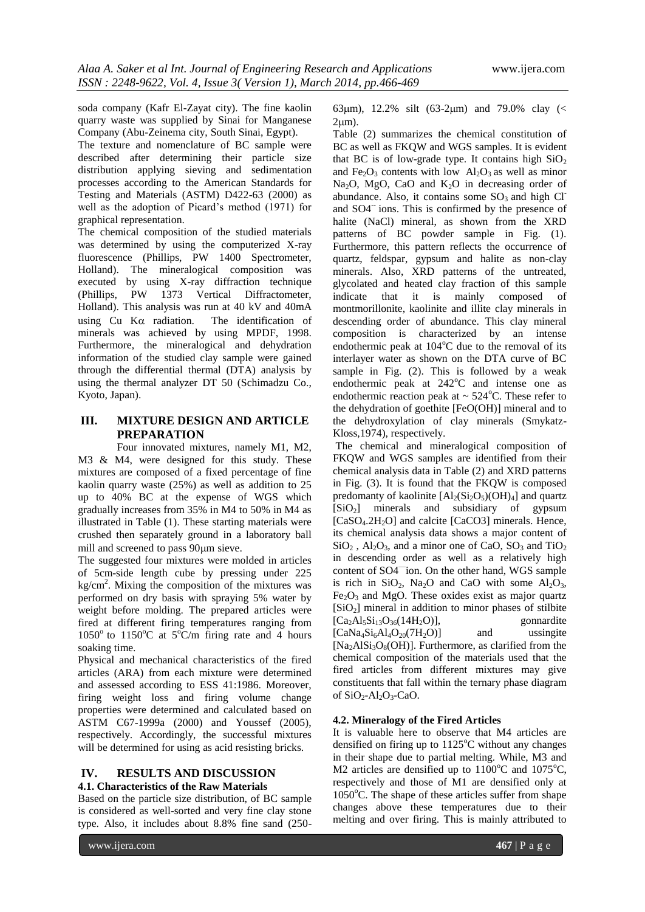soda company (Kafr El-Zayat city). The fine kaolin quarry waste was supplied by Sinai for Manganese Company (Abu-Zeinema city, South Sinai, Egypt).

The texture and nomenclature of BC sample were described after determining their particle size distribution applying sieving and sedimentation processes according to the American Standards for Testing and Materials (ASTM) D422-63 (2000) as well as the adoption of Picard's method (1971) for graphical representation.

The chemical composition of the studied materials was determined by using the computerized X-ray fluorescence (Phillips, PW 1400 Spectrometer, Holland). The mineralogical composition was executed by using X-ray diffraction technique (Phillips, PW 1373 Vertical Diffractometer, Holland). This analysis was run at 40 kV and 40mA using  $Cu$  K $\alpha$  radiation. The identification of minerals was achieved by using MPDF, 1998. Furthermore, the mineralogical and dehydration information of the studied clay sample were gained through the differential thermal (DTA) analysis by using the thermal analyzer DT 50 (Schimadzu Co., Kyoto, Japan).

#### **III. MIXTURE DESIGN AND ARTICLE PREPARATION**

Four innovated mixtures, namely M1, M2, M3 & M4, were designed for this study. These mixtures are composed of a fixed percentage of fine kaolin quarry waste (25%) as well as addition to 25 up to 40% BC at the expense of WGS which gradually increases from 35% in M4 to 50% in M4 as illustrated in Table (1). These starting materials were crushed then separately ground in a laboratory ball mill and screened to pass 90um sieve.

The suggested four mixtures were molded in articles of 5cm-side length cube by pressing under 225 kg/cm<sup>2</sup>. Mixing the composition of the mixtures was performed on dry basis with spraying 5% water by weight before molding. The prepared articles were fired at different firing temperatures ranging from  $1050^{\circ}$  to  $1150^{\circ}$ C at  $5^{\circ}$ C/m firing rate and 4 hours soaking time.

Physical and mechanical characteristics of the fired articles (ARA) from each mixture were determined and assessed according to ESS 41:1986. Moreover, firing weight loss and firing volume change properties were determined and calculated based on ASTM C67-1999a (2000) and Youssef (2005), respectively. Accordingly, the successful mixtures will be determined for using as acid resisting bricks.

#### **IV. RESULTS AND DISCUSSION 4.1. Characteristics of the Raw Materials**

Based on the particle size distribution, of BC sample is considered as well-sorted and very fine clay stone type. Also, it includes about 8.8% fine sand (25063 $\mu$ m), 12.2% silt (63-2 $\mu$ m) and 79.0% clay (< 2um).

Table (2) summarizes the chemical constitution of BC as well as FKQW and WGS samples. It is evident that BC is of low-grade type. It contains high  $SiO<sub>2</sub>$ and Fe<sub>2</sub>O<sub>3</sub> contents with low  $Al_2O_3$  as well as minor Na<sub>2</sub>O, MgO, CaO and  $K_2O$  in decreasing order of abundance. Also, it contains some  $SO<sub>3</sub>$  and high Cl<sup>-</sup> and SO4<sup>-</sup> ions. This is confirmed by the presence of halite (NaCl) mineral, as shown from the XRD patterns of BC powder sample in Fig. (1). Furthermore, this pattern reflects the occurrence of quartz, feldspar, gypsum and halite as non-clay minerals. Also, XRD patterns of the untreated, glycolated and heated clay fraction of this sample indicate that it is mainly composed of montmorillonite, kaolinite and illite clay minerals in descending order of abundance. This clay mineral composition is characterized by an intense endothermic peak at  $104^{\circ}$ C due to the removal of its interlayer water as shown on the DTA curve of BC sample in Fig. (2). This is followed by a weak endothermic peak at 242°C and intense one as endothermic reaction peak at  $\sim 524^{\circ}$ C. These refer to the dehydration of goethite [FeO(OH)] mineral and to the dehydroxylation of clay minerals (Smykatz-Kloss,1974), respectively.

The chemical and mineralogical composition of FKQW and WGS samples are identified from their chemical analysis data in Table (2) and XRD patterns in Fig. (3). It is found that the FKQW is composed predomanty of kaolinite  $[A]<sub>2</sub>(Si<sub>2</sub>O<sub>5</sub>)(OH)<sub>4</sub>$  and quartz  $[SiO<sub>2</sub>]$  minerals and subsidiary of gypsum  $[CaSO<sub>4</sub>.2H<sub>2</sub>O]$  and calcite  $[CaCO3]$  minerals. Hence, its chemical analysis data shows a major content of  $SiO<sub>2</sub>$ ,  $Al<sub>2</sub>O<sub>3</sub>$ , and a minor one of CaO,  $SO<sub>3</sub>$  and TiO<sub>2</sub> in descending order as well as a relatively high content of SO4—ion. On the other hand, WGS sample is rich in  $SiO_2$ , Na<sub>2</sub>O and CaO with some  $Al_2O_3$ ,  $Fe<sub>2</sub>O<sub>3</sub>$  and MgO. These oxides exist as major quartz  $[SiO<sub>2</sub>]$  mineral in addition to minor phases of stilbite  $[Ca_2Al_5Si_{13}O_{36}(14H_2O)],$  gonnardite<br>  $[CaNa_4Si_6Al_4O_{20}(7H_2O)]$  and ussingite  $[CaNa_4Si_6Al_4O_{20}(7H_2O)]$  and [Na<sub>2</sub>AlSi<sub>3</sub>O<sub>8</sub>(OH)]. Furthermore, as clarified from the chemical composition of the materials used that the fired articles from different mixtures may give constituents that fall within the ternary phase diagram of  $SiO_2$ -Al<sub>2</sub>O<sub>3</sub>-CaO.

#### **4.2. Mineralogy of the Fired Articles**

It is valuable here to observe that M4 articles are densified on firing up to  $1125^{\circ}$ C without any changes in their shape due to partial melting. While, M3 and M2 articles are densified up to  $1100^{\circ}$ C and  $1075^{\circ}$ C, respectively and those of M1 are densified only at  $1050^{\circ}$ C. The shape of these articles suffer from shape changes above these temperatures due to their melting and over firing. This is mainly attributed to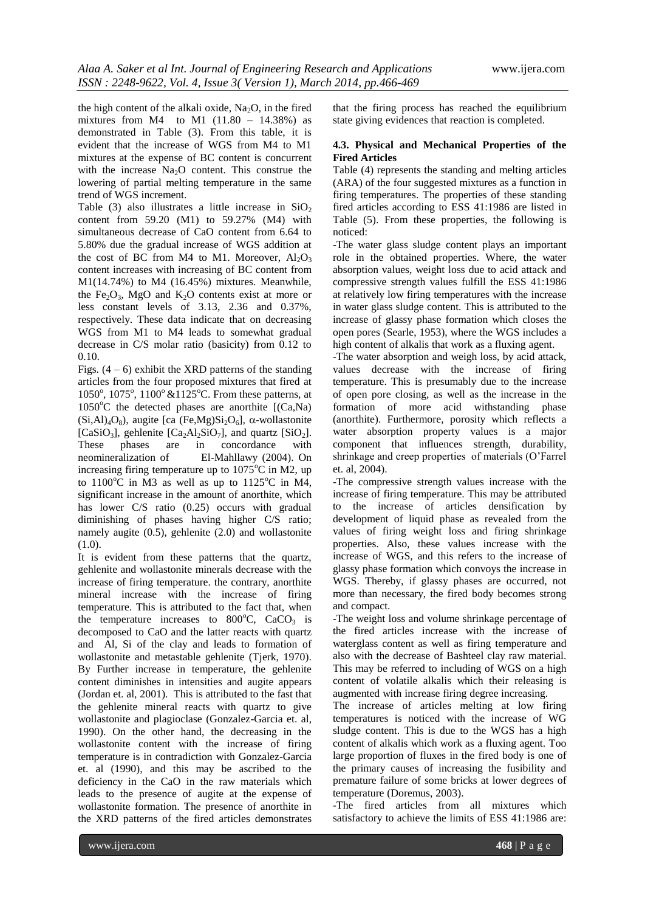the high content of the alkali oxide,  $Na<sub>2</sub>O$ , in the fired mixtures from  $M4$  to  $M1$  (11.80 – 14.38%) as demonstrated in Table (3). From this table, it is evident that the increase of WGS from M4 to M1 mixtures at the expense of BC content is concurrent with the increase  $Na<sub>2</sub>O$  content. This construe the lowering of partial melting temperature in the same trend of WGS increment.

Table (3) also illustrates a little increase in  $SiO<sub>2</sub>$ content from 59.20 (M1) to 59.27% (M4) with simultaneous decrease of CaO content from 6.64 to 5.80% due the gradual increase of WGS addition at the cost of BC from M4 to M1. Moreover,  $Al_2O_3$ content increases with increasing of BC content from M1(14.74%) to M4 (16.45%) mixtures. Meanwhile, the Fe<sub>2</sub>O<sub>3</sub>, MgO and K<sub>2</sub>O contents exist at more or less constant levels of 3.13, 2.36 and 0.37%, respectively. These data indicate that on decreasing WGS from M1 to M4 leads to somewhat gradual decrease in C/S molar ratio (basicity) from 0.12 to 0.10.

Figs.  $(4 - 6)$  exhibit the XRD patterns of the standing articles from the four proposed mixtures that fired at 1050°, 1075°, 1100° & 1125°C. From these patterns, at  $1050^{\circ}$ C the detected phases are anorthite  $[(Ca,Na)]$  $(Si, Al)<sub>4</sub>O<sub>8</sub>$ ), augite [ca (Fe,Mg) $Si<sub>2</sub>O<sub>6</sub>$ ],  $\alpha$ -wollastonite [CaSiO<sub>3</sub>], gehlenite [Ca<sub>2</sub>Al<sub>2</sub>SiO<sub>7</sub>], and quartz [SiO<sub>2</sub>].<br>These phases are in concordance with concordance neomineralization of El-Mahllawy (2004). On increasing firing temperature up to  $1075^{\circ}$ C in M2, up to  $1100^{\circ}$ C in M3 as well as up to  $1125^{\circ}$ C in M4, significant increase in the amount of anorthite, which has lower C/S ratio (0.25) occurs with gradual diminishing of phases having higher C/S ratio; namely augite (0.5), gehlenite (2.0) and wollastonite  $(1.0).$ 

It is evident from these patterns that the quartz, gehlenite and wollastonite minerals decrease with the increase of firing temperature. the contrary, anorthite mineral increase with the increase of firing temperature. This is attributed to the fact that, when the temperature increases to  $800^{\circ}$ C, CaCO<sub>3</sub> is decomposed to CaO and the latter reacts with quartz and Al, Si of the clay and leads to formation of wollastonite and metastable gehlenite (Tjerk, 1970). By Further increase in temperature, the gehlenite content diminishes in intensities and augite appears (Jordan et. al, 2001). This is attributed to the fast that the gehlenite mineral reacts with quartz to give wollastonite and plagioclase (Gonzalez-Garcia et. al, 1990). On the other hand, the decreasing in the wollastonite content with the increase of firing temperature is in contradiction with Gonzalez-Garcia et. al (1990), and this may be ascribed to the deficiency in the CaO in the raw materials which leads to the presence of augite at the expense of wollastonite formation. The presence of anorthite in the XRD patterns of the fired articles demonstrates

that the firing process has reached the equilibrium state giving evidences that reaction is completed.

#### **4.3. Physical and Mechanical Properties of the Fired Articles**

Table (4) represents the standing and melting articles (ARA) of the four suggested mixtures as a function in firing temperatures. The properties of these standing fired articles according to ESS 41:1986 are listed in Table (5). From these properties, the following is noticed:

-The water glass sludge content plays an important role in the obtained properties. Where, the water absorption values, weight loss due to acid attack and compressive strength values fulfill the ESS 41:1986 at relatively low firing temperatures with the increase in water glass sludge content. This is attributed to the increase of glassy phase formation which closes the open pores (Searle, 1953), where the WGS includes a high content of alkalis that work as a fluxing agent.

-The water absorption and weigh loss, by acid attack, values decrease with the increase of firing temperature. This is presumably due to the increase of open pore closing, as well as the increase in the formation of more acid withstanding phase (anorthite). Furthermore, porosity which reflects a water absorption property values is a major component that influences strength, durability, shrinkage and creep properties of materials (O'Farrel et. al, 2004).

-The compressive strength values increase with the increase of firing temperature. This may be attributed to the increase of articles densification by development of liquid phase as revealed from the values of firing weight loss and firing shrinkage properties. Also, these values increase with the increase of WGS, and this refers to the increase of glassy phase formation which convoys the increase in WGS. Thereby, if glassy phases are occurred, not more than necessary, the fired body becomes strong and compact.

-The weight loss and volume shrinkage percentage of the fired articles increase with the increase of waterglass content as well as firing temperature and also with the decrease of Bashteel clay raw material. This may be referred to including of WGS on a high content of volatile alkalis which their releasing is augmented with increase firing degree increasing.

The increase of articles melting at low firing temperatures is noticed with the increase of WG sludge content. This is due to the WGS has a high content of alkalis which work as a fluxing agent. Too large proportion of fluxes in the fired body is one of the primary causes of increasing the fusibility and premature failure of some bricks at lower degrees of temperature (Doremus, 2003).

-The fired articles from all mixtures which satisfactory to achieve the limits of ESS 41:1986 are: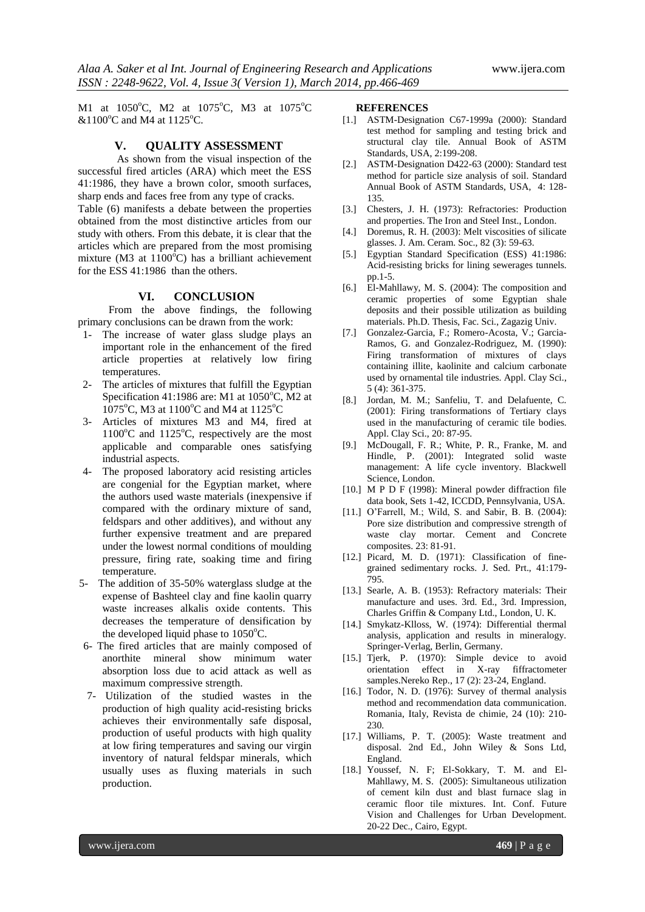M1 at 1050°C, M2 at 1075°C, M3 at 1075°C  $&1100^{\circ}$ C and M4 at  $1125^{\circ}$ C.

#### **V. QUALITY ASSESSMENT**

As shown from the visual inspection of the successful fired articles (ARA) which meet the ESS 41:1986, they have a brown color, smooth surfaces, sharp ends and faces free from any type of cracks.

Table (6) manifests a debate between the properties obtained from the most distinctive articles from our study with others. From this debate, it is clear that the articles which are prepared from the most promising mixture ( $M3$  at  $1100^{\circ}$ C) has a brilliant achievement for the ESS 41:1986 than the others.

#### **VI. CONCLUSION**

From the above findings, the following primary conclusions can be drawn from the work:

- 1- The increase of water glass sludge plays an important role in the enhancement of the fired article properties at relatively low firing temperatures.
- 2- The articles of mixtures that fulfill the Egyptian Specification 41:1986 are: M1 at  $1050^{\circ}$ C, M2 at 1075°C, M3 at 1100°C and M4 at 1125°C
- 3- Articles of mixtures M3 and M4, fired at  $1100^{\circ}$ C and  $1125^{\circ}$ C, respectively are the most applicable and comparable ones satisfying industrial aspects.
- 4- The proposed laboratory acid resisting articles are congenial for the Egyptian market, where the authors used waste materials (inexpensive if compared with the ordinary mixture of sand, feldspars and other additives), and without any further expensive treatment and are prepared under the lowest normal conditions of moulding pressure, firing rate, soaking time and firing temperature.
- 5- The addition of 35-50% waterglass sludge at the expense of Bashteel clay and fine kaolin quarry waste increases alkalis oxide contents. This decreases the temperature of densification by the developed liquid phase to  $1050^{\circ}$ C.
- 6- The fired articles that are mainly composed of anorthite mineral show minimum water absorption loss due to acid attack as well as maximum compressive strength.
- 7- Utilization of the studied wastes in the production of high quality acid-resisting bricks achieves their environmentally safe disposal, production of useful products with high quality at low firing temperatures and saving our virgin inventory of natural feldspar minerals, which usually uses as fluxing materials in such production.

#### **REFERENCES**

- [1.] ASTM-Designation C67-1999a (2000): Standard test method for sampling and testing brick and structural clay tile. Annual Book of ASTM Standards, USA, 2:199-208.
- [2.] ASTM-Designation D422-63 (2000): Standard test method for particle size analysis of soil. Standard Annual Book of ASTM Standards, USA, 4: 128- 135.
- [3.] Chesters, J. H. (1973): Refractories: Production and properties. The Iron and Steel Inst., London.
- [4.] Doremus, R. H. (2003): Melt viscosities of silicate glasses. J. Am. Ceram. Soc., 82 (3): 59-63.
- [5.] Egyptian Standard Specification (ESS) 41:1986: Acid-resisting bricks for lining sewerages tunnels. pp.1-5.
- [6.] El-Mahllawy, M. S. (2004): The composition and ceramic properties of some Egyptian shale deposits and their possible utilization as building materials. Ph.D. Thesis, Fac. Sci., Zagazig Univ.
- [7.] Gonzalez-Garcia, F.; Romero-Acosta, V.; Garcia-Ramos, G. and Gonzalez-Rodriguez, M. (1990): Firing transformation of mixtures of clays containing illite, kaolinite and calcium carbonate used by ornamental tile industries. Appl. Clay Sci., 5 (4): 361-375.
- [8.] Jordan, M. M.; Sanfeliu, T. and Delafuente, C. (2001): Firing transformations of Tertiary clays used in the manufacturing of ceramic tile bodies. Appl. Clay Sci., 20: 87-95.
- [9.] McDougall, F. R.; White, P. R., Franke, M. and Hindle, P. (2001): Integrated solid waste management: A life cycle inventory. Blackwell Science, London.
- [10.] M P D F (1998): Mineral powder diffraction file data book, Sets 1-42, ICCDD, Pennsylvania, USA.
- [11.] O'Farrell, M.; Wild, S. and Sabir, B. B. (2004): Pore size distribution and compressive strength of waste clay mortar. Cement and Concrete composites. 23: 81-91.
- [12.] Picard, M. D. (1971): Classification of finegrained sedimentary rocks. J. Sed. Prt., 41:179- 795.
- [13.] Searle, A. B. (1953): Refractory materials: Their manufacture and uses. 3rd. Ed., 3rd. Impression, Charles Griffin & Company Ltd., London, U. K.
- [14.] Smykatz-Klloss, W. (1974): Differential thermal analysis, application and results in mineralogy. Springer-Verlag, Berlin, Germany.
- [15.] Tjerk, P. (1970): Simple device to avoid orientation effect in X-ray fiffractometer samples.Nereko Rep., 17 (2): 23-24, England.
- [16.] Todor, N. D. (1976): Survey of thermal analysis method and recommendation data communication. Romania, Italy, Revista de chimie, 24 (10): 210- 230.
- [17.] Williams, P. T. (2005): Waste treatment and disposal. 2nd Ed., John Wiley & Sons Ltd, England.
- [18.] Youssef, N. F; El-Sokkary, T. M. and El-Mahllawy, M. S. (2005): Simultaneous utilization of cement kiln dust and blast furnace slag in ceramic floor tile mixtures. Int. Conf. Future Vision and Challenges for Urban Development. 20-22 Dec., Cairo, Egypt.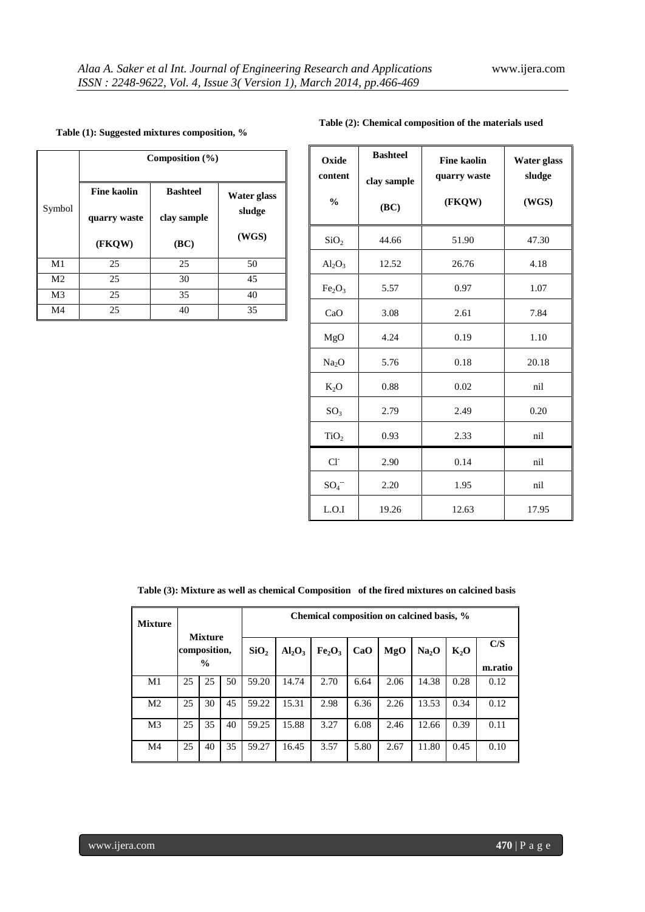|                | Composition $(\% )$                   |             |             |  |  |  |
|----------------|---------------------------------------|-------------|-------------|--|--|--|
|                | <b>Fine kaolin</b><br><b>Bashteel</b> |             | Water glass |  |  |  |
| Symbol         | quarry waste                          | clay sample | sludge      |  |  |  |
|                | (FKQW)                                | (BC)        | (WGS)       |  |  |  |
| M1             | 25                                    | 25          | 50          |  |  |  |
| M <sub>2</sub> | 25                                    | 30          | 45          |  |  |  |
| M3             | 25                                    | 35          | 40          |  |  |  |
|                |                                       |             |             |  |  |  |

**Table (1): Suggested mixtures composition, %**

#### **Table (2): Chemical composition of the materials used**

| Oxide<br>content<br>$\frac{0}{0}$ | <b>Bashteel</b><br>clay sample<br>(BC) | <b>Fine kaolin</b><br>quarry waste<br>(FKQW) | <b>Water glass</b><br>sludge<br>(WGS) |
|-----------------------------------|----------------------------------------|----------------------------------------------|---------------------------------------|
| SiO <sub>2</sub>                  | 44.66                                  | 51.90                                        | 47.30                                 |
| Al <sub>2</sub> O <sub>3</sub>    | 12.52                                  | 26.76                                        | 4.18                                  |
| Fe <sub>2</sub> O <sub>3</sub>    | 5.57                                   | 0.97                                         | 1.07                                  |
| CaO                               | 3.08                                   | 2.61                                         | 7.84                                  |
| MgO                               | 4.24                                   | 0.19                                         | 1.10                                  |
| Na <sub>2</sub> O                 | 5.76                                   | 0.18                                         | 20.18                                 |
| $K_2O$                            | 0.88                                   | 0.02                                         | nil                                   |
| SO <sub>3</sub>                   | 2.79                                   | 2.49                                         | 0.20                                  |
| TiO <sub>2</sub>                  | 0.93                                   | 2.33                                         | nil                                   |
| Cl <sup>2</sup>                   | 2.90                                   | 0.14                                         | nil                                   |
| $SO_4^-$                          | 2.20                                   | 1.95                                         | nil                                   |
| L.O.I                             | 19.26                                  | 12.63                                        | 17.95                                 |

**Table (3): Mixture as well as chemical Composition of the fired mixtures on calcined basis**

| <b>Mixture</b> |                                |               |                  |           |                                |      |      | Chemical composition on calcined basis, % |        |      |         |
|----------------|--------------------------------|---------------|------------------|-----------|--------------------------------|------|------|-------------------------------------------|--------|------|---------|
|                | <b>Mixture</b><br>composition, |               | SiO <sub>2</sub> | $Al_2O_3$ | Fe <sub>2</sub> O <sub>3</sub> | CaO  | MgO  | Na <sub>2</sub> O                         | $K_2O$ | C/S  |         |
|                |                                | $\frac{6}{9}$ |                  |           |                                |      |      |                                           |        |      | m.ratio |
| M1             | 25                             | 25            | 50               | 59.20     | 14.74                          | 2.70 | 6.64 | 2.06                                      | 14.38  | 0.28 | 0.12    |
| M <sub>2</sub> | 25                             | 30            | 45               | 59.22     | 15.31                          | 2.98 | 6.36 | 2.26                                      | 13.53  | 0.34 | 0.12    |
| M <sub>3</sub> | 25                             | 35            | 40               | 59.25     | 15.88                          | 3.27 | 6.08 | 2.46                                      | 12.66  | 0.39 | 0.11    |
| M <sub>4</sub> | 25                             | 40            | 35               | 59.27     | 16.45                          | 3.57 | 5.80 | 2.67                                      | 11.80  | 0.45 | 0.10    |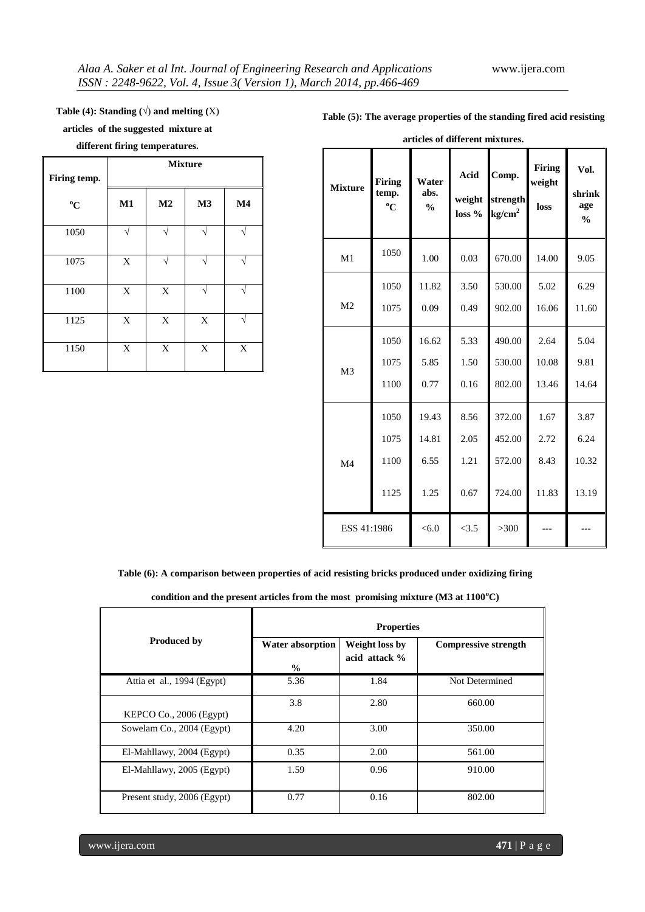**Table (4): Standing (** $\sqrt{ }$ **) and melting (X)** 

**Table (5): The average properties of the standing fired acid resisting** 

**articles of the suggested mixture at different firing temperatures.**

| Firing temp. | <b>Mixture</b> |             |             |               |  |  |  |
|--------------|----------------|-------------|-------------|---------------|--|--|--|
| $\rm ^{o}C$  | M1             | M2          | M3          | $\mathbf{M}4$ |  |  |  |
| 1050         |                |             |             |               |  |  |  |
| 1075         | $\mathbf X$    |             |             |               |  |  |  |
| 1100         | $\mathbf X$    | $\mathbf X$ |             |               |  |  |  |
| 1125         | $\mathbf X$    | $\mathbf X$ | $\mathbf X$ |               |  |  |  |
| 1150         | $\mathbf X$    | $\mathbf X$ | $\mathbf X$ | X             |  |  |  |

| articles of different mixtures. |
|---------------------------------|
|---------------------------------|

| <b>Mixture</b> | Firing<br>temp.<br>$\rm ^{o}C$ | Water<br>abs.<br>$\frac{0}{0}$ | Acid<br>weight<br>$loss\%$ | Comp.<br>strength<br>kg/cm <sup>2</sup> | <b>Firing</b><br>weight<br>loss | Vol.<br>shrink<br>age<br>$\frac{0}{0}$ |
|----------------|--------------------------------|--------------------------------|----------------------------|-----------------------------------------|---------------------------------|----------------------------------------|
| M1             | 1050                           | 1.00                           | 0.03                       | 670.00                                  | 14.00                           | 9.05                                   |
|                | 1050                           | 11.82                          | 3.50                       | 530.00                                  | 5.02                            | 6.29                                   |
| M <sub>2</sub> | 1075                           | 0.09                           | 0.49                       | 902.00                                  | 16.06                           | 11.60                                  |
|                | 1050                           | 16.62                          | 5.33                       | 490.00                                  | 2.64                            | 5.04                                   |
| M <sub>3</sub> | 1075                           | 5.85                           | 1.50                       | 530.00                                  | 10.08                           | 9.81                                   |
|                | 1100                           | 0.77                           | 0.16                       | 802.00                                  | 13.46                           | 14.64                                  |
|                | 1050                           | 19.43                          | 8.56                       | 372.00                                  | 1.67                            | 3.87                                   |
|                | 1075                           | 14.81                          | 2.05                       | 452.00                                  | 2.72                            | 6.24                                   |
| M <sub>4</sub> | 1100                           | 6.55                           | 1.21                       | 572.00                                  | 8.43                            | 10.32                                  |
|                | 1125                           | 1.25                           | 0.67                       | 724.00                                  | 11.83                           | 13.19                                  |
| ESS 41:1986    |                                | < 6.0                          | <3.5                       | >300                                    |                                 |                                        |

**Table (6): A comparison between properties of acid resisting bricks produced under oxidizing firing** 

| condition and the present articles from the most promising mixture $(M3$ at $1100^{\circ}$ C) |
|-----------------------------------------------------------------------------------------------|
|-----------------------------------------------------------------------------------------------|

|                             | <b>Properties</b>                 |                                    |                             |  |  |  |
|-----------------------------|-----------------------------------|------------------------------------|-----------------------------|--|--|--|
| <b>Produced by</b>          | Water absorption<br>$\frac{0}{0}$ | Weight loss by<br>acid attack $\%$ | <b>Compressive strength</b> |  |  |  |
| Attia et al., 1994 (Egypt)  | 5.36                              | 1.84                               | Not Determined              |  |  |  |
| KEPCO Co., 2006 (Egypt)     | 3.8                               | 2.80                               | 660.00                      |  |  |  |
| Sowelam Co., 2004 (Egypt)   | 4.20                              | 3.00                               | 350.00                      |  |  |  |
| El-Mahllawy, 2004 (Egypt)   | 0.35                              | 2.00                               | 561.00                      |  |  |  |
| El-Mahllawy, 2005 (Egypt)   | 1.59                              | 0.96                               | 910.00                      |  |  |  |
| Present study, 2006 (Egypt) | 0.77                              | 0.16                               | 802.00                      |  |  |  |